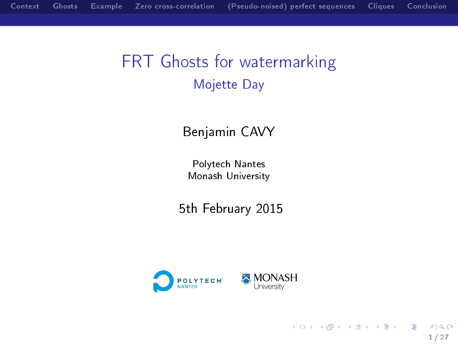# FRT Ghosts for watermarking Mojette Day

#### Benjamin CAVY

Polytech Nantes Monash University

5th February 2015



1 / 27

э

 $299$ 

지갑 데 저렴 이 지경 이 지경 이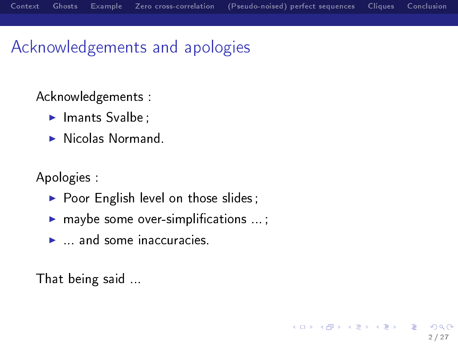# Acknowledgements and apologies

Acknowledgements :

- $\blacktriangleright$  Imants Svalbe;
- $\blacktriangleright$  Nicolas Normand.

Apologies :

- $\triangleright$  Poor English level on those slides;
- $\blacktriangleright$  maybe some over-simplifications ...;
- $\blacktriangleright$  and some inaccuracies.

That being said ...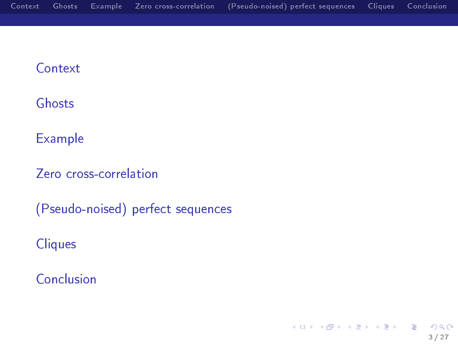#### **[Context](#page-3-0)**

#### [Ghosts](#page-5-0)

#### [Example](#page-10-0)

[Zero cross-correlation](#page-13-0)

[\(Pseudo-noised\) perfect sequences](#page-17-0)

**[Cliques](#page-21-0)** 

[Conclusion](#page-24-0)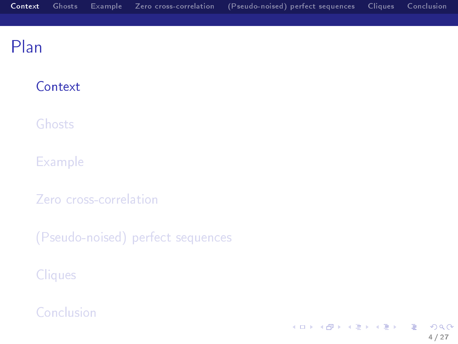#### <span id="page-3-0"></span>**[Context](#page-3-0)**

[Ghosts](#page-5-0)

**[Example](#page-10-0)** 

[Zero cross-correlation](#page-13-0)

[\(Pseudo-noised\) perfect sequences](#page-17-0)

**[Cliques](#page-21-0)** 

[Conclusion](#page-24-0)

イロメ イ部メ イミメ イモメ E  $299$ 4 / 27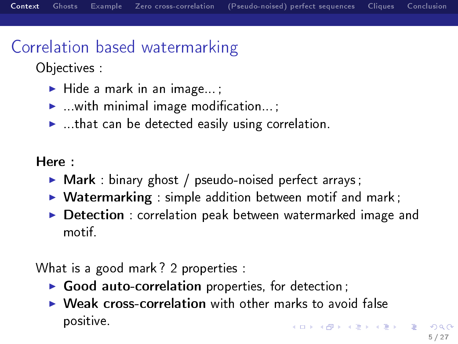# Correlation based watermarking

Objectives :

- $\blacktriangleright$  Hide a mark in an image...
- $\blacktriangleright$  with minimal image modification...;
- $\blacktriangleright$  ...that can be detected easily using correlation.

Here :

- $\triangleright$  Mark : binary ghost / pseudo-noised perfect arrays ;
- $\triangleright$  Watermarking : simple addition between motif and mark;
- $\triangleright$  Detection : correlation peak between watermarked image and motif.

What is a good mark ? 2 properties :

- $\triangleright$  Good auto-correlation properties, for detection;
- $\triangleright$  Weak cross-correlation with other marks to avoid false positive.  $\left\{ \begin{array}{ccc} 1 & 0 & 0 \\ 0 & 1 & 0 \end{array} \right.$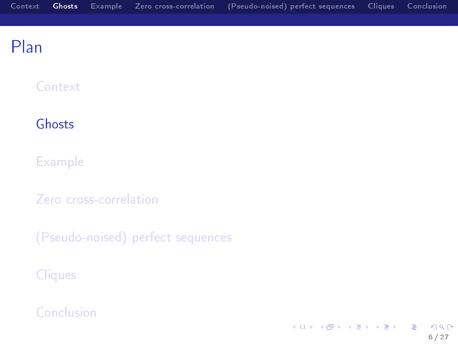#### <span id="page-5-0"></span>**[Context](#page-3-0)**

#### [Ghosts](#page-5-0)

**[Example](#page-10-0)** 

[Zero cross-correlation](#page-13-0)

[\(Pseudo-noised\) perfect sequences](#page-17-0)

**[Cliques](#page-21-0)** 

[Conclusion](#page-24-0)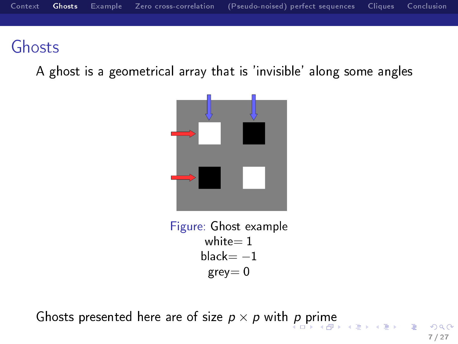## <span id="page-6-0"></span>Ghosts

A ghost is a geometrical array that is 'invisible' along some angles



Figure: Ghost example white $= 1$  $black=-1$  $grey = 0$ 

Ghosts [p](#page-5-0)resented here are of s[i](#page-5-0)ze  $p \times p$  $p \times p$  $p \times p$  with p [pr](#page-7-0)ime

7 / 27

G.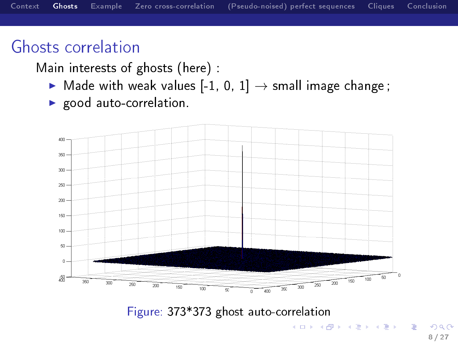### <span id="page-7-0"></span>Ghosts correlation

Main interests of ghosts (here) :

- $\blacktriangleright$  Made with weak values [-1, 0, 1]  $\rightarrow$  small image change;
- $\blacktriangleright$  good auto-correlation.



#### Figure: 373\*373 ghost auto-correlation

G.

지갑 데 저렴 이 지경 이 지경 이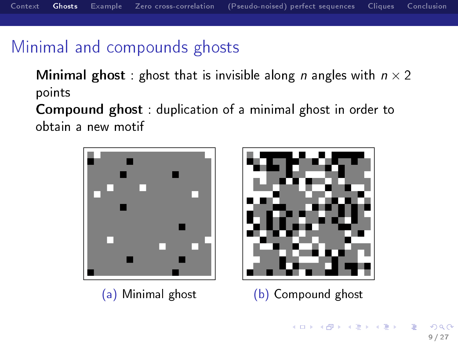# Minimal and compounds ghosts

**Minimal ghost**: ghost that is invisible along *n* angles with  $n \times 2$ points

Compound ghost : duplication of a minimal ghost in order to obtain a new motif

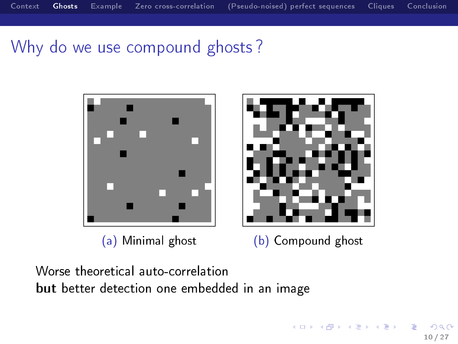## Why do we use compound ghosts ?



Worse theoretical auto-correlation but better detection one embedded in an image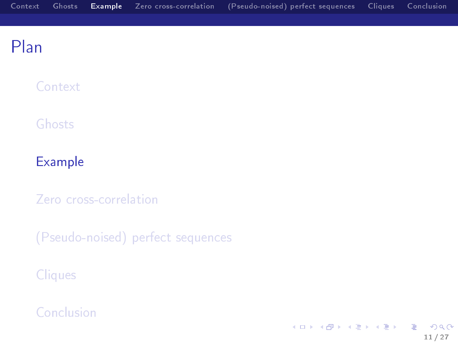<span id="page-10-0"></span>**[Context](#page-3-0)** 

[Ghosts](#page-5-0)

#### [Example](#page-10-0)

[Zero cross-correlation](#page-13-0)

[\(Pseudo-noised\) perfect sequences](#page-17-0)

**[Cliques](#page-21-0)** 

[Conclusion](#page-24-0)

イロメ イ部メ イミメ イモメ E  $299$ 11 / 27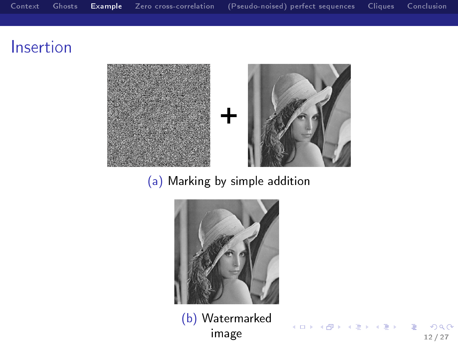### Insertion



#### (a) Marking by simple addition



(b) Watermarked  $\frac{1}{2}$  image  $\frac{1}{2}$   $\frac{1}{2}$   $\frac{1}{2}$   $\frac{1}{2}$   $\frac{1}{2}$   $\frac{1}{2}$   $\frac{1}{2}$   $\frac{1}{2}$   $\frac{1}{2}$   $\frac{1}{2}$   $\frac{1}{2}$   $\frac{1}{2}$   $\frac{1}{2}$   $\frac{1}{2}$   $\frac{1}{2}$   $\frac{1}{2}$   $\frac{1}{2}$   $\frac{1}{2}$   $\frac{1}{2}$   $\frac{1}{2}$   $\frac{1$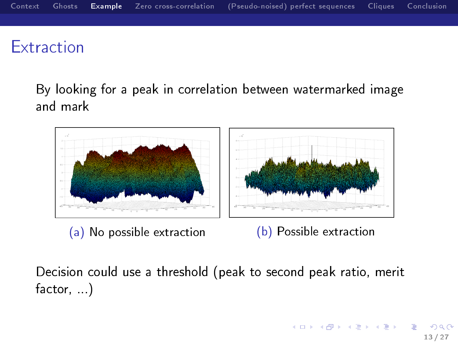# **Extraction**

By looking for a peak in correlation between watermarked image and mark



Decision could use a threshold (peak to second peak ratio, merit factor, )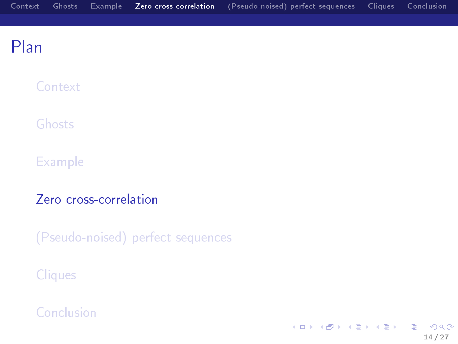<span id="page-13-0"></span>**[Context](#page-3-0)** 

[Ghosts](#page-5-0)

**[Example](#page-10-0)** 

[Zero cross-correlation](#page-13-0)

[\(Pseudo-noised\) perfect sequences](#page-17-0)

**[Cliques](#page-21-0)** 

[Conclusion](#page-24-0)

イロメ イ部メ イミメ イモメ E  $299$ 14 / 27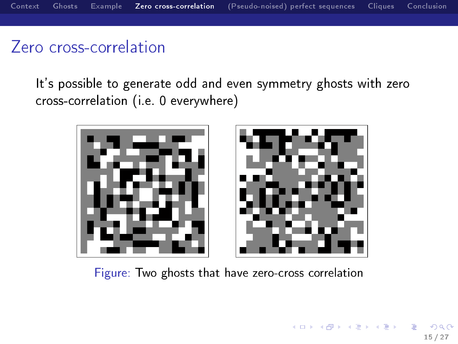# <span id="page-14-0"></span>Zero cross-correlation

It's possible to generate odd and even symmetry ghosts with zero cross-correlation (i.e. 0 everywhere)



Figure: Two ghosts that have zero-cross correlation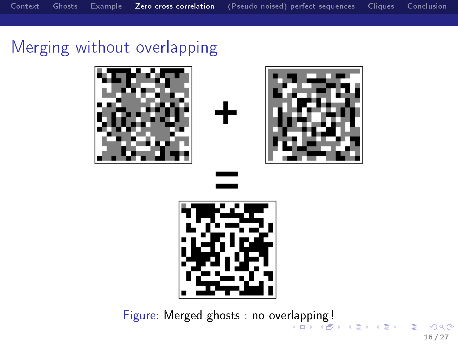# <span id="page-15-0"></span>Merging without overlapping









Figure: Merged ghosts : no ove[rla](#page-14-0)p[pi](#page-16-0)[n](#page-14-0)[g !](#page-15-0) (□ ) ( ) + ( )

 $QQ$ 16 / 27

 $\mathbb{D} \rightarrow$ 

э

不重 下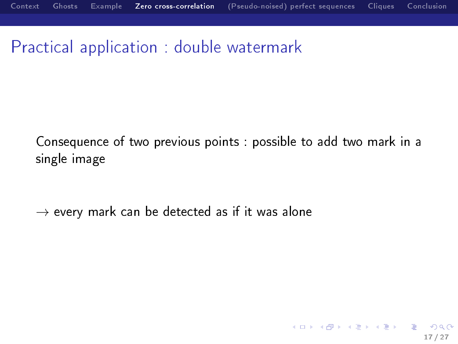<span id="page-16-0"></span>Practical application : double watermark

Consequence of two previous points : possible to add two mark in a single image

17 / 27

イロメ イ部メ イミメ イミメー

 $\rightarrow$  every mark can be detected as if it was alone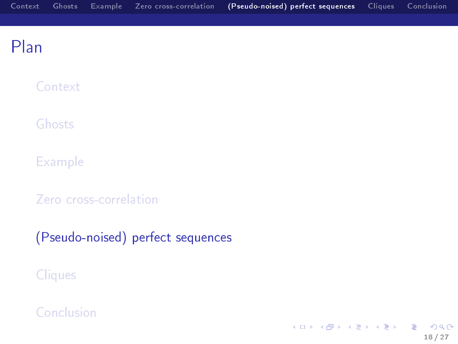<span id="page-17-0"></span>**[Context](#page-3-0)** 

[Ghosts](#page-5-0)

**[Example](#page-10-0)** 

[Zero cross-correlation](#page-13-0)

[\(Pseudo-noised\) perfect sequences](#page-17-0)

**[Cliques](#page-21-0)** 

[Conclusion](#page-24-0)

イロメ イ部メ イミメ イモメ E  $2990$ 18 / 27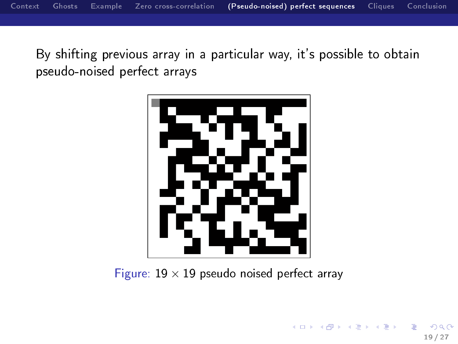By shifting previous array in a particular way, it's possible to obtain pseudo-noised perfect arrays



Figure:  $19 \times 19$  pseudo noised perfect array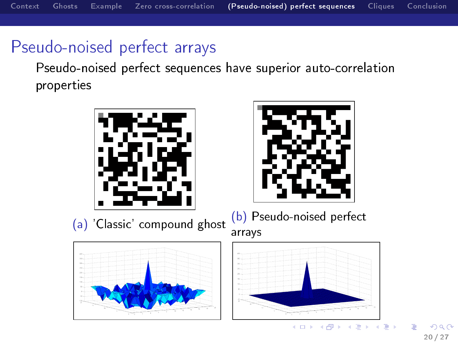# Pseudo-noised perfect arrays

Pseudo-noised perfect sequences have superior auto-correlation properties





(a) 'Classic' compound ghost (b) Pseudo-noised perfect







 $\leftarrow$   $\Box$ 

同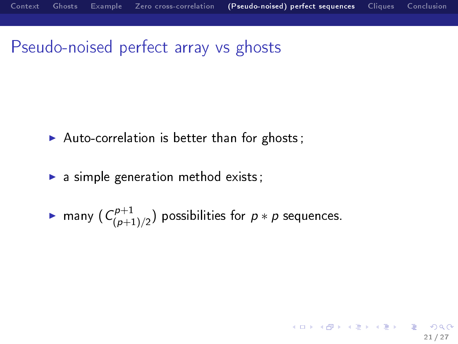### Pseudo-noised perfect array vs ghosts

- $\blacktriangleright$  Auto-correlation is better than for ghosts;
- $\blacktriangleright$  a simple generation method exists;

$$
\blacktriangleright \text{ many } (C^{p+1}_{(p+1)/2}) \text{ possibilities for } p * p \text{ sequences.}
$$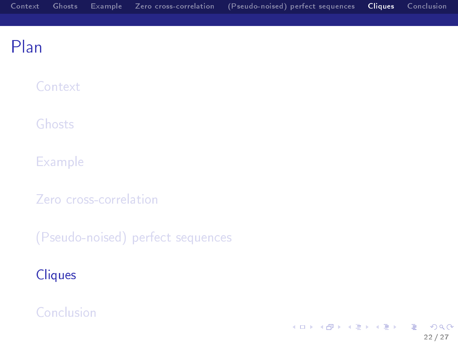<span id="page-21-0"></span>**[Context](#page-3-0)** 

[Ghosts](#page-5-0)

**[Example](#page-10-0)** 

[Zero cross-correlation](#page-13-0)

[\(Pseudo-noised\) perfect sequences](#page-17-0)

#### **[Cliques](#page-21-0)**

[Conclusion](#page-24-0)

イロメ イ部メ イミメ イモメ E  $299$ 22 / 27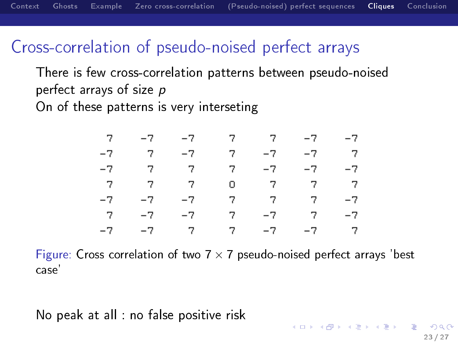### Cross-correlation of pseudo-noised perfect arrays

There is few cross-correlation patterns between pseudo-noised perfect arrays of size p On of these patterns is very interseting

|  | $7 - -7 - -7 - 7 - 7 - -7 - -7$                                                    |  |  |
|--|------------------------------------------------------------------------------------|--|--|
|  | $-7$ $7$ $-7$ $7$ $-7$ $-7$ $-7$                                                   |  |  |
|  | $-7$ $7$ $7$ $-7$ $-7$ $-7$ $-7$                                                   |  |  |
|  | $\begin{array}{ccccccccccccc} & 7 & & 7 & & 7 & & 0 & & 7 & & 7 & & 7 \end{array}$ |  |  |
|  | $-7$ $-7$ $-7$ $7$ $7$ $7$ $-7$                                                    |  |  |
|  | $7 - -7 - -7 - 7 - -7 - 7 - -7$                                                    |  |  |
|  | $-7$ $-7$ $7$ $7$ $-7$ $-7$ $7$                                                    |  |  |

Figure: Cross correlation of two  $7 \times 7$  pseudo-noised perfect arrays 'best case'

No peak at all : no false positive risk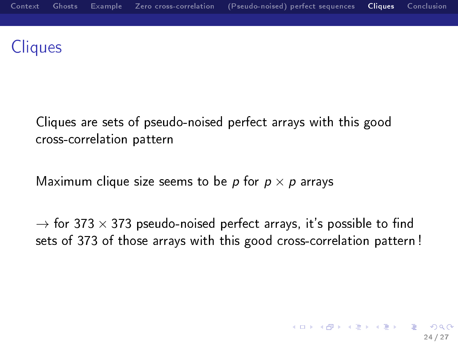# **Cliques**

Cliques are sets of pseudo-noised perfect arrays with this good cross-correlation pattern

Maximum clique size seems to be p for  $p \times p$  arrays

 $\rightarrow$  for 373  $\times$  373 pseudo-noised perfect arrays, it's possible to find sets of 373 of those arrays with this good cross-correlation pattern !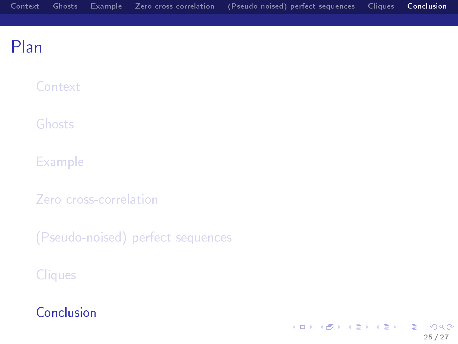<span id="page-24-0"></span>**[Context](#page-3-0)** 

[Ghosts](#page-5-0)

[Example](#page-10-0)

[Zero cross-correlation](#page-13-0)

[\(Pseudo-noised\) perfect sequences](#page-17-0)

**[Cliques](#page-21-0)** 

[Conclusion](#page-24-0)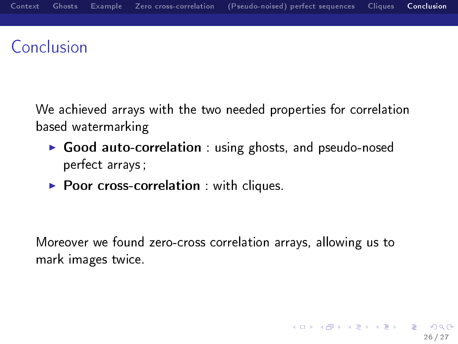# Conclusion

We achieved arrays with the two needed properties for correlation based watermarking

- ▶ Good auto-correlation : using ghosts, and pseudo-nosed perfect arrays ;
- $\blacktriangleright$  Poor cross-correlation : with cliques.

Moreover we found zero-cross correlation arrays, allowing us to mark images twice.